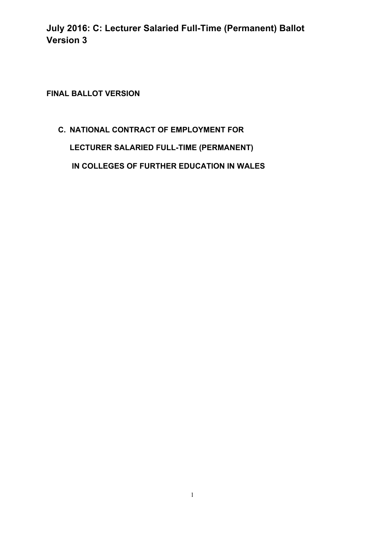**FINAL BALLOT VERSION** 

# **C. NATIONAL CONTRACT OF EMPLOYMENT FOR LECTURER SALARIED FULL-TIME (PERMANENT)**

**IN COLLEGES OF FURTHER EDUCATION IN WALES**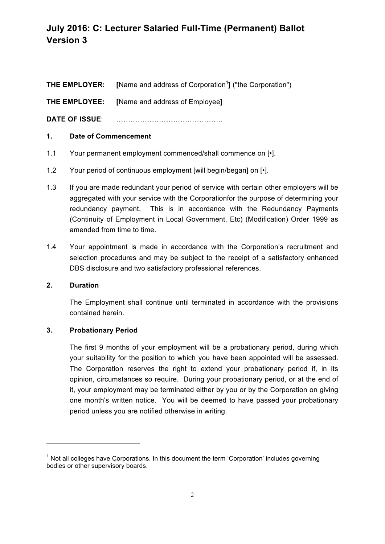**THE EMPLOYER:** [Name and address of Corporation<sup>1</sup>] ("the Corporation")

**THE EMPLOYEE: [**Name and address of Employee**]**

**DATE OF ISSUE**: ………………………………………

#### **1. Date of Commencement**

- 1.1 Your permanent employment commenced/shall commence on [•].
- 1.2 Your period of continuous employment [will begin/began] on [ $\cdot$ ].
- 1.3 If you are made redundant your period of service with certain other employers will be aggregated with your service with the Corporationfor the purpose of determining your redundancy payment. This is in accordance with the Redundancy Payments (Continuity of Employment in Local Government, Etc) (Modification) Order 1999 as amended from time to time.
- 1.4 Your appointment is made in accordance with the Corporation's recruitment and selection procedures and may be subject to the receipt of a satisfactory enhanced DBS disclosure and two satisfactory professional references.

#### **2. Duration**

The Employment shall continue until terminated in accordance with the provisions contained herein.

#### **3. Probationary Period**

<u> 1989 - Jan Samuel Barbara, margaret e</u>

The first 9 months of your employment will be a probationary period, during which your suitability for the position to which you have been appointed will be assessed. The Corporation reserves the right to extend your probationary period if, in its opinion, circumstances so require. During your probationary period, or at the end of it, your employment may be terminated either by you or by the Corporation on giving one month's written notice. You will be deemed to have passed your probationary period unless you are notified otherwise in writing.

 $<sup>1</sup>$  Not all colleges have Corporations. In this document the term 'Corporation' includes governing</sup> bodies or other supervisory boards.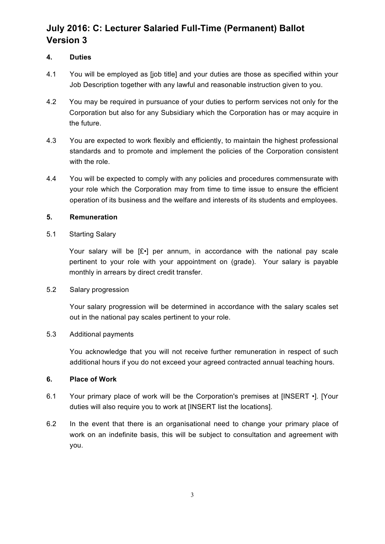#### **4. Duties**

- 4.1 You will be employed as [job title] and your duties are those as specified within your Job Description together with any lawful and reasonable instruction given to you.
- 4.2 You may be required in pursuance of your duties to perform services not only for the Corporation but also for any Subsidiary which the Corporation has or may acquire in the future.
- 4.3 You are expected to work flexibly and efficiently, to maintain the highest professional standards and to promote and implement the policies of the Corporation consistent with the role.
- 4.4 You will be expected to comply with any policies and procedures commensurate with your role which the Corporation may from time to time issue to ensure the efficient operation of its business and the welfare and interests of its students and employees.

#### **5. Remuneration**

#### 5.1 Starting Salary

Your salary will be [£•] per annum, in accordance with the national pay scale pertinent to your role with your appointment on (grade). Your salary is payable monthly in arrears by direct credit transfer.

#### 5.2 Salary progression

Your salary progression will be determined in accordance with the salary scales set out in the national pay scales pertinent to your role.

#### 5.3 Additional payments

You acknowledge that you will not receive further remuneration in respect of such additional hours if you do not exceed your agreed contracted annual teaching hours.

#### **6. Place of Work**

- 6.1 Your primary place of work will be the Corporation's premises at [INSERT •]. [Your duties will also require you to work at [INSERT list the locations].
- 6.2 In the event that there is an organisational need to change your primary place of work on an indefinite basis, this will be subject to consultation and agreement with you.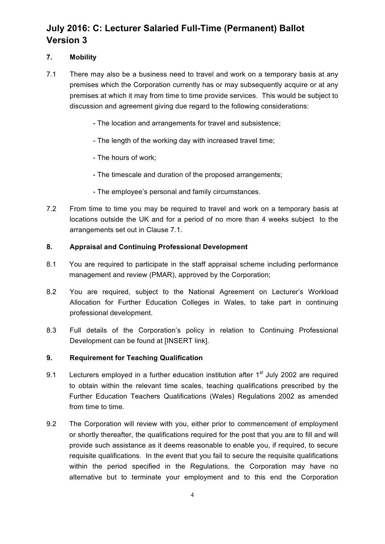### **7. Mobility**

- 7.1 There may also be a business need to travel and work on a temporary basis at any premises which the Corporation currently has or may subsequently acquire or at any premises at which it may from time to time provide services. This would be subject to discussion and agreement giving due regard to the following considerations:
	- The location and arrangements for travel and subsistence;
	- The length of the working day with increased travel time;
	- The hours of work;
	- The timescale and duration of the proposed arrangements;
	- The employee's personal and family circumstances.
- 7.2 From time to time you may be required to travel and work on a temporary basis at locations outside the UK and for a period of no more than 4 weeks subject to the arrangements set out in Clause 7.1.

#### **8. Appraisal and Continuing Professional Development**

- 8.1 You are required to participate in the staff appraisal scheme including performance management and review (PMAR), approved by the Corporation;
- 8.2 You are required, subject to the National Agreement on Lecturer's Workload Allocation for Further Education Colleges in Wales, to take part in continuing professional development.
- 8.3 Full details of the Corporation's policy in relation to Continuing Professional Development can be found at [INSERT link].

#### **9. Requirement for Teaching Qualification**

- 9.1 Lecturers employed in a further education institution after  $1<sup>st</sup>$  July 2002 are required to obtain within the relevant time scales, teaching qualifications prescribed by the Further Education Teachers Qualifications (Wales) Regulations 2002 as amended from time to time.
- 9.2 The Corporation will review with you, either prior to commencement of employment or shortly thereafter, the qualifications required for the post that you are to fill and will provide such assistance as it deems reasonable to enable you, if required, to secure requisite qualifications. In the event that you fail to secure the requisite qualifications within the period specified in the Regulations, the Corporation may have no alternative but to terminate your employment and to this end the Corporation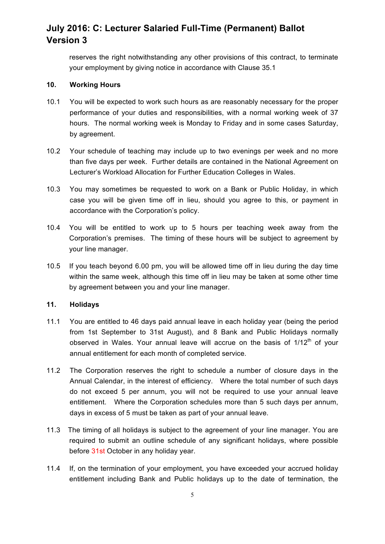reserves the right notwithstanding any other provisions of this contract, to terminate your employment by giving notice in accordance with Clause 35.1

#### **10. Working Hours**

- 10.1 You will be expected to work such hours as are reasonably necessary for the proper performance of your duties and responsibilities, with a normal working week of 37 hours. The normal working week is Monday to Friday and in some cases Saturday, by agreement.
- 10.2 Your schedule of teaching may include up to two evenings per week and no more than five days per week. Further details are contained in the National Agreement on Lecturer's Workload Allocation for Further Education Colleges in Wales.
- 10.3 You may sometimes be requested to work on a Bank or Public Holiday, in which case you will be given time off in lieu, should you agree to this, or payment in accordance with the Corporation's policy.
- 10.4 You will be entitled to work up to 5 hours per teaching week away from the Corporation's premises. The timing of these hours will be subject to agreement by your line manager.
- 10.5 If you teach beyond 6.00 pm, you will be allowed time off in lieu during the day time within the same week, although this time off in lieu may be taken at some other time by agreement between you and your line manager.

#### **11. Holidays**

- 11.1 You are entitled to 46 days paid annual leave in each holiday year (being the period from 1st September to 31st August), and 8 Bank and Public Holidays normally observed in Wales. Your annual leave will accrue on the basis of  $1/12<sup>th</sup>$  of your annual entitlement for each month of completed service.
- 11.2 The Corporation reserves the right to schedule a number of closure days in the Annual Calendar, in the interest of efficiency. Where the total number of such days do not exceed 5 per annum, you will not be required to use your annual leave entitlement. Where the Corporation schedules more than 5 such days per annum, days in excess of 5 must be taken as part of your annual leave.
- 11.3 The timing of all holidays is subject to the agreement of your line manager. You are required to submit an outline schedule of any significant holidays, where possible before 31st October in any holiday year.
- 11.4 If, on the termination of your employment, you have exceeded your accrued holiday entitlement including Bank and Public holidays up to the date of termination, the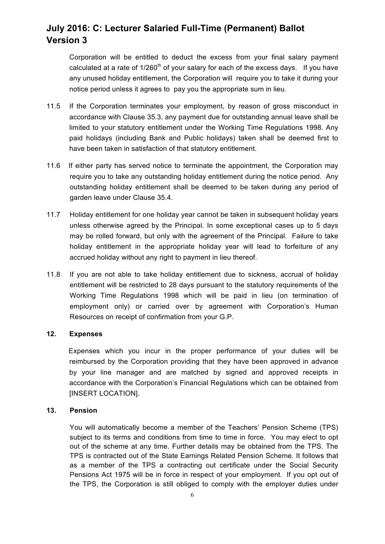Corporation will be entitled to deduct the excess from your final salary payment calculated at a rate of  $1/260<sup>th</sup>$  of your salary for each of the excess days. If you have any unused holiday entitlement, the Corporation will require you to take it during your notice period unless it agrees to pay you the appropriate sum in lieu.

- 11.5 If the Corporation terminates your employment, by reason of gross misconduct in accordance with Clause 35.3, any payment due for outstanding annual leave shall be limited to your statutory entitlement under the Working Time Regulations 1998. Any paid holidays (including Bank and Public holidays) taken shall be deemed first to have been taken in satisfaction of that statutory entitlement.
- 11.6 If either party has served notice to terminate the appointment, the Corporation may require you to take any outstanding holiday entitlement during the notice period. Any outstanding holiday entitlement shall be deemed to be taken during any period of garden leave under Clause 35.4.
- 11.7 Holiday entitlement for one holiday year cannot be taken in subsequent holiday years unless otherwise agreed by the Principal. In some exceptional cases up to 5 days may be rolled forward, but only with the agreement of the Principal. Failure to take holiday entitlement in the appropriate holiday year will lead to forfeiture of any accrued holiday without any right to payment in lieu thereof.
- 11.8 If you are not able to take holiday entitlement due to sickness, accrual of holiday entitlement will be restricted to 28 days pursuant to the statutory requirements of the Working Time Regulations 1998 which will be paid in lieu (on termination of employment only) or carried over by agreement with Corporation's Human Resources on receipt of confirmation from your G.P.

#### **12. Expenses**

Expenses which you incur in the proper performance of your duties will be reimbursed by the Corporation providing that they have been approved in advance by your line manager and are matched by signed and approved receipts in accordance with the Corporation's Financial Regulations which can be obtained from **IINSERT LOCATIONI.** 

#### **13. Pension**

You will automatically become a member of the Teachers' Pension Scheme (TPS) subject to its terms and conditions from time to time in force. You may elect to opt out of the scheme at any time. Further details may be obtained from the TPS. The TPS is contracted out of the State Earnings Related Pension Scheme. It follows that as a member of the TPS a contracting out certificate under the Social Security Pensions Act 1975 will be in force in respect of your employment. If you opt out of the TPS, the Corporation is still obliged to comply with the employer duties under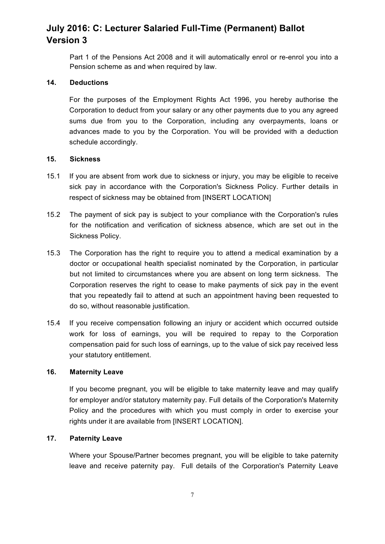Part 1 of the Pensions Act 2008 and it will automatically enrol or re-enrol you into a Pension scheme as and when required by law.

#### **14. Deductions**

For the purposes of the Employment Rights Act 1996, you hereby authorise the Corporation to deduct from your salary or any other payments due to you any agreed sums due from you to the Corporation, including any overpayments, loans or advances made to you by the Corporation. You will be provided with a deduction schedule accordingly.

#### **15. Sickness**

- 15.1 If you are absent from work due to sickness or injury, you may be eligible to receive sick pay in accordance with the Corporation's Sickness Policy. Further details in respect of sickness may be obtained from [INSERT LOCATION]
- 15.2 The payment of sick pay is subject to your compliance with the Corporation's rules for the notification and verification of sickness absence, which are set out in the Sickness Policy.
- 15.3 The Corporation has the right to require you to attend a medical examination by a doctor or occupational health specialist nominated by the Corporation, in particular but not limited to circumstances where you are absent on long term sickness. The Corporation reserves the right to cease to make payments of sick pay in the event that you repeatedly fail to attend at such an appointment having been requested to do so, without reasonable justification.
- 15.4 If you receive compensation following an injury or accident which occurred outside work for loss of earnings, you will be required to repay to the Corporation compensation paid for such loss of earnings, up to the value of sick pay received less your statutory entitlement.

#### **16. Maternity Leave**

If you become pregnant, you will be eligible to take maternity leave and may qualify for employer and/or statutory maternity pay. Full details of the Corporation's Maternity Policy and the procedures with which you must comply in order to exercise your rights under it are available from [INSERT LOCATION].

#### **17. Paternity Leave**

Where your Spouse/Partner becomes pregnant, you will be eligible to take paternity leave and receive paternity pay. Full details of the Corporation's Paternity Leave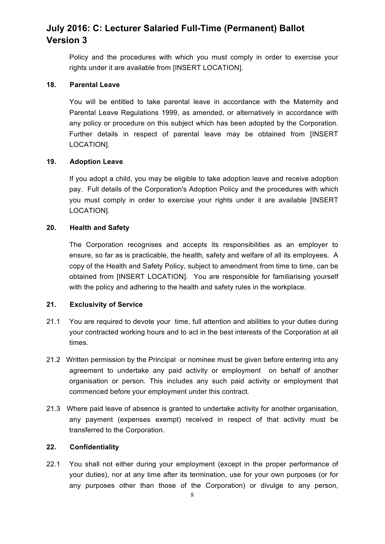Policy and the procedures with which you must comply in order to exercise your rights under it are available from [INSERT LOCATION].

#### **18. Parental Leave**

You will be entitled to take parental leave in accordance with the Maternity and Parental Leave Regulations 1999, as amended, or alternatively in accordance with any policy or procedure on this subject which has been adopted by the Corporation. Further details in respect of parental leave may be obtained from [INSERT LOCATION].

#### **19. Adoption Leave**

If you adopt a child, you may be eligible to take adoption leave and receive adoption pay. Full details of the Corporation's Adoption Policy and the procedures with which you must comply in order to exercise your rights under it are available [INSERT LOCATION].

#### **20. Health and Safety**

The Corporation recognises and accepts its responsibilities as an employer to ensure, so far as is practicable, the health, safety and welfare of all its employees. A copy of the Health and Safety Policy, subject to amendment from time to time, can be obtained from [INSERT LOCATION]. You are responsible for familiarising yourself with the policy and adhering to the health and safety rules in the workplace.

#### **21. Exclusivity of Service**

- 21.1 You are required to devote your time, full attention and abilities to your duties during your contracted working hours and to act in the best interests of the Corporation at all times.
- 21.2 Written permission by the Principal or nominee must be given before entering into any agreement to undertake any paid activity or employment on behalf of another organisation or person. This includes any such paid activity or employment that commenced before your employment under this contract.
- 21.3 Where paid leave of absence is granted to undertake activity for another organisation, any payment (expenses exempt) received in respect of that activity must be transferred to the Corporation.

#### **22. Confidentiality**

22.1 You shall not either during your employment (except in the proper performance of your duties), nor at any time after its termination, use for your own purposes (or for any purposes other than those of the Corporation) or divulge to any person,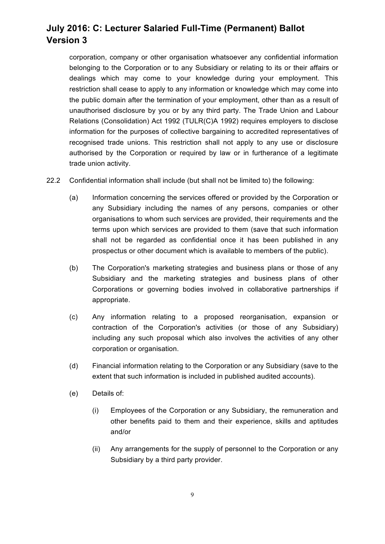corporation, company or other organisation whatsoever any confidential information belonging to the Corporation or to any Subsidiary or relating to its or their affairs or dealings which may come to your knowledge during your employment. This restriction shall cease to apply to any information or knowledge which may come into the public domain after the termination of your employment, other than as a result of unauthorised disclosure by you or by any third party. The Trade Union and Labour Relations (Consolidation) Act 1992 (TULR(C)A 1992) requires employers to disclose information for the purposes of collective bargaining to accredited representatives of recognised trade unions. This restriction shall not apply to any use or disclosure authorised by the Corporation or required by law or in furtherance of a legitimate trade union activity.

- 22.2 Confidential information shall include (but shall not be limited to) the following:
	- (a) Information concerning the services offered or provided by the Corporation or any Subsidiary including the names of any persons, companies or other organisations to whom such services are provided, their requirements and the terms upon which services are provided to them (save that such information shall not be regarded as confidential once it has been published in any prospectus or other document which is available to members of the public).
	- (b) The Corporation's marketing strategies and business plans or those of any Subsidiary and the marketing strategies and business plans of other Corporations or governing bodies involved in collaborative partnerships if appropriate.
	- (c) Any information relating to a proposed reorganisation, expansion or contraction of the Corporation's activities (or those of any Subsidiary) including any such proposal which also involves the activities of any other corporation or organisation.
	- (d) Financial information relating to the Corporation or any Subsidiary (save to the extent that such information is included in published audited accounts).
	- (e) Details of:
		- (i) Employees of the Corporation or any Subsidiary, the remuneration and other benefits paid to them and their experience, skills and aptitudes and/or
		- (ii) Any arrangements for the supply of personnel to the Corporation or any Subsidiary by a third party provider.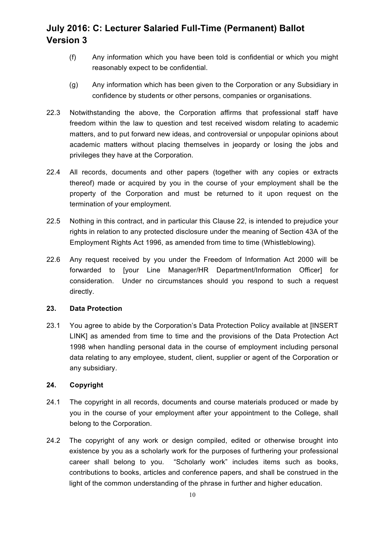- (f) Any information which you have been told is confidential or which you might reasonably expect to be confidential.
- (g) Any information which has been given to the Corporation or any Subsidiary in confidence by students or other persons, companies or organisations.
- 22.3 Notwithstanding the above, the Corporation affirms that professional staff have freedom within the law to question and test received wisdom relating to academic matters, and to put forward new ideas, and controversial or unpopular opinions about academic matters without placing themselves in jeopardy or losing the jobs and privileges they have at the Corporation.
- 22.4 All records, documents and other papers (together with any copies or extracts thereof) made or acquired by you in the course of your employment shall be the property of the Corporation and must be returned to it upon request on the termination of your employment.
- 22.5 Nothing in this contract, and in particular this Clause 22, is intended to prejudice your rights in relation to any protected disclosure under the meaning of Section 43A of the Employment Rights Act 1996, as amended from time to time (Whistleblowing).
- 22.6 Any request received by you under the Freedom of Information Act 2000 will be forwarded to [your Line Manager/HR Department/Information Officer] for consideration. Under no circumstances should you respond to such a request directly.

#### **23. Data Protection**

23.1 You agree to abide by the Corporation's Data Protection Policy available at [INSERT LINK] as amended from time to time and the provisions of the Data Protection Act 1998 when handling personal data in the course of employment including personal data relating to any employee, student, client, supplier or agent of the Corporation or any subsidiary.

#### **24. Copyright**

- 24.1 The copyright in all records, documents and course materials produced or made by you in the course of your employment after your appointment to the College, shall belong to the Corporation.
- 24.2 The copyright of any work or design compiled, edited or otherwise brought into existence by you as a scholarly work for the purposes of furthering your professional career shall belong to you. "Scholarly work" includes items such as books, contributions to books, articles and conference papers, and shall be construed in the light of the common understanding of the phrase in further and higher education.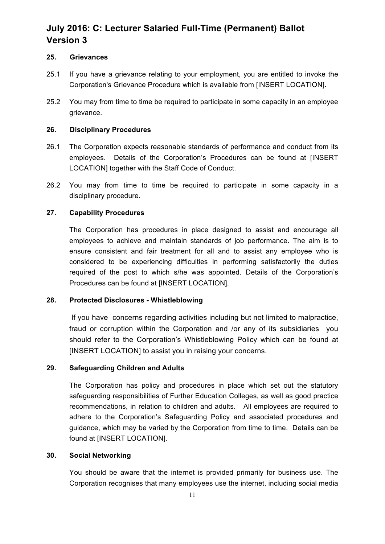#### **25. Grievances**

- 25.1 If you have a grievance relating to your employment, you are entitled to invoke the Corporation's Grievance Procedure which is available from [INSERT LOCATION].
- 25.2 You may from time to time be required to participate in some capacity in an employee grievance.

#### **26. Disciplinary Procedures**

- 26.1 The Corporation expects reasonable standards of performance and conduct from its employees. Details of the Corporation's Procedures can be found at [INSERT LOCATION] together with the Staff Code of Conduct.
- 26.2 You may from time to time be required to participate in some capacity in a disciplinary procedure.

#### **27. Capability Procedures**

The Corporation has procedures in place designed to assist and encourage all employees to achieve and maintain standards of job performance. The aim is to ensure consistent and fair treatment for all and to assist any employee who is considered to be experiencing difficulties in performing satisfactorily the duties required of the post to which s/he was appointed. Details of the Corporation's Procedures can be found at [INSERT LOCATION].

#### **28. Protected Disclosures - Whistleblowing**

If you have concerns regarding activities including but not limited to malpractice, fraud or corruption within the Corporation and /or any of its subsidiaries you should refer to the Corporation's Whistleblowing Policy which can be found at [INSERT LOCATION] to assist you in raising your concerns.

#### **29. Safeguarding Children and Adults**

The Corporation has policy and procedures in place which set out the statutory safeguarding responsibilities of Further Education Colleges, as well as good practice recommendations, in relation to children and adults. All employees are required to adhere to the Corporation's Safeguarding Policy and associated procedures and guidance, which may be varied by the Corporation from time to time. Details can be found at [INSERT LOCATION].

#### **30. Social Networking**

You should be aware that the internet is provided primarily for business use. The Corporation recognises that many employees use the internet, including social media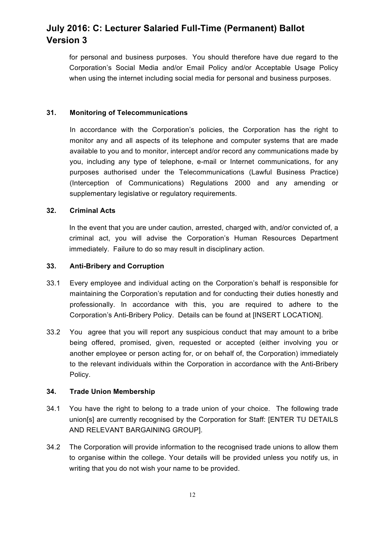for personal and business purposes. You should therefore have due regard to the Corporation's Social Media and/or Email Policy and/or Acceptable Usage Policy when using the internet including social media for personal and business purposes.

#### **31. Monitoring of Telecommunications**

In accordance with the Corporation's policies, the Corporation has the right to monitor any and all aspects of its telephone and computer systems that are made available to you and to monitor, intercept and/or record any communications made by you, including any type of telephone, e-mail or Internet communications, for any purposes authorised under the Telecommunications (Lawful Business Practice) (Interception of Communications) Regulations 2000 and any amending or supplementary legislative or regulatory requirements.

#### **32. Criminal Acts**

In the event that you are under caution, arrested, charged with, and/or convicted of, a criminal act, you will advise the Corporation's Human Resources Department immediately. Failure to do so may result in disciplinary action.

#### **33. Anti-Bribery and Corruption**

- 33.1 Every employee and individual acting on the Corporation's behalf is responsible for maintaining the Corporation's reputation and for conducting their duties honestly and professionally. In accordance with this, you are required to adhere to the Corporation's Anti-Bribery Policy. Details can be found at [INSERT LOCATION].
- 33.2 You agree that you will report any suspicious conduct that may amount to a bribe being offered, promised, given, requested or accepted (either involving you or another employee or person acting for, or on behalf of, the Corporation) immediately to the relevant individuals within the Corporation in accordance with the Anti-Bribery Policy.

#### **34. Trade Union Membership**

- 34.1 You have the right to belong to a trade union of your choice. The following trade union[s] are currently recognised by the Corporation for Staff: [ENTER TU DETAILS AND RELEVANT BARGAINING GROUP].
- 34.2 The Corporation will provide information to the recognised trade unions to allow them to organise within the college. Your details will be provided unless you notify us, in writing that you do not wish your name to be provided.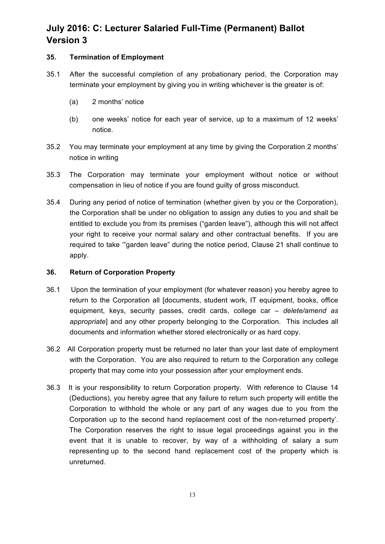#### **35. Termination of Employment**

- 35.1 After the successful completion of any probationary period, the Corporation may terminate your employment by giving you in writing whichever is the greater is of:
	- (a) 2 months' notice
	- (b) one weeks' notice for each year of service, up to a maximum of 12 weeks' notice.
- 35.2 You may terminate your employment at any time by giving the Corporation 2 months' notice in writing
- 35.3 The Corporation may terminate your employment without notice or without compensation in lieu of notice if you are found guilty of gross misconduct.
- 35.4 During any period of notice of termination (whether given by you or the Corporation), the Corporation shall be under no obligation to assign any duties to you and shall be entitled to exclude you from its premises ("garden leave"), although this will not affect your right to receive your normal salary and other contractual benefits. If you are required to take '"garden leave" during the notice period, Clause 21 shall continue to apply.

#### **36. Return of Corporation Property**

- 36.1 Upon the termination of your employment (for whatever reason) you hereby agree to return to the Corporation all [documents, student work, IT equipment, books, office equipment, keys, security passes, credit cards, college car *– delete/amend as appropriate*] and any other property belonging to the Corporation. This includes all documents and information whether stored electronically or as hard copy.
- 36.2 All Corporation property must be returned no later than your last date of employment with the Corporation. You are also required to return to the Corporation any college property that may come into your possession after your employment ends.
- 36.3 It is your responsibility to return Corporation property. With reference to Clause 14 (Deductions), you hereby agree that any failure to return such property will entitle the Corporation to withhold the whole or any part of any wages due to you from the Corporation up to the second hand replacement cost of the non-returned property'. The Corporation reserves the right to issue legal proceedings against you in the event that it is unable to recover, by way of a withholding of salary a sum representing up to the second hand replacement cost of the property which is unreturned.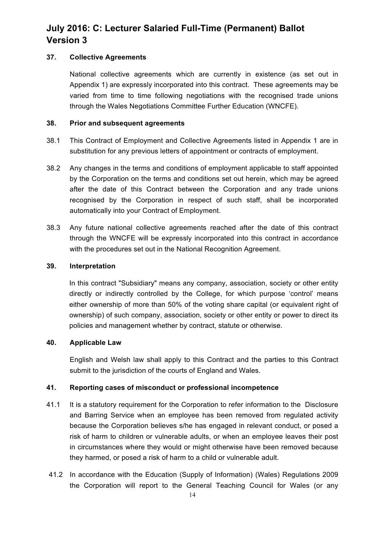#### **37. Collective Agreements**

National collective agreements which are currently in existence (as set out in Appendix 1) are expressly incorporated into this contract. These agreements may be varied from time to time following negotiations with the recognised trade unions through the Wales Negotiations Committee Further Education (WNCFE).

#### **38. Prior and subsequent agreements**

- 38.1 This Contract of Employment and Collective Agreements listed in Appendix 1 are in substitution for any previous letters of appointment or contracts of employment.
- 38.2 Any changes in the terms and conditions of employment applicable to staff appointed by the Corporation on the terms and conditions set out herein, which may be agreed after the date of this Contract between the Corporation and any trade unions recognised by the Corporation in respect of such staff, shall be incorporated automatically into your Contract of Employment.
- 38.3 Any future national collective agreements reached after the date of this contract through the WNCFE will be expressly incorporated into this contract in accordance with the procedures set out in the National Recognition Agreement.

#### **39. Interpretation**

In this contract "Subsidiary" means any company, association, society or other entity directly or indirectly controlled by the College, for which purpose 'control' means either ownership of more than 50% of the voting share capital (or equivalent right of ownership) of such company, association, society or other entity or power to direct its policies and management whether by contract, statute or otherwise.

#### **40. Applicable Law**

English and Welsh law shall apply to this Contract and the parties to this Contract submit to the jurisdiction of the courts of England and Wales.

### **41. Reporting cases of misconduct or professional incompetence**

- 41.1 It is a statutory requirement for the Corporation to refer information to the Disclosure and Barring Service when an employee has been removed from regulated activity because the Corporation believes s/he has engaged in relevant conduct, or posed a risk of harm to children or vulnerable adults, or when an employee leaves their post in circumstances where they would or might otherwise have been removed because they harmed, or posed a risk of harm to a child or vulnerable adult.
- 41.2 In accordance with the Education (Supply of Information) (Wales) Regulations 2009 the Corporation will report to the General Teaching Council for Wales (or any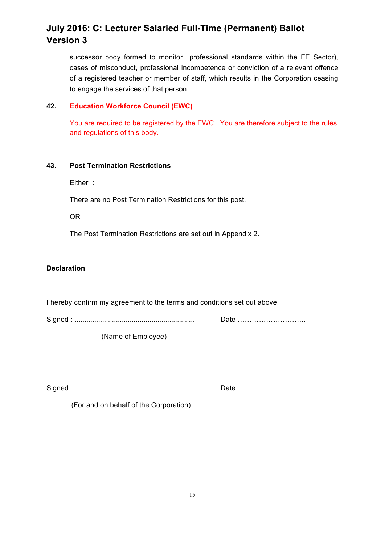successor body formed to monitor professional standards within the FE Sector), cases of misconduct, professional incompetence or conviction of a relevant offence of a registered teacher or member of staff, which results in the Corporation ceasing to engage the services of that person.

#### **42. Education Workforce Council (EWC)**

You are required to be registered by the EWC. You are therefore subject to the rules and regulations of this body.

#### **43. Post Termination Restrictions**

Either :

There are no Post Termination Restrictions for this post.

OR

The Post Termination Restrictions are set out in Appendix 2.

#### **Declaration**

I hereby confirm my agreement to the terms and conditions set out above.

Signed : ............................................................. Date ………………………..

(Name of Employee)

Signed : ...........................................................… Date …………………………..

(For and on behalf of the Corporation)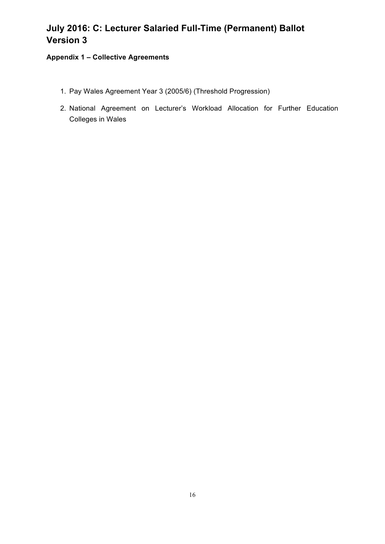### **Appendix 1 – Collective Agreements**

- 1. Pay Wales Agreement Year 3 (2005/6) (Threshold Progression)
- 2. National Agreement on Lecturer's Workload Allocation for Further Education Colleges in Wales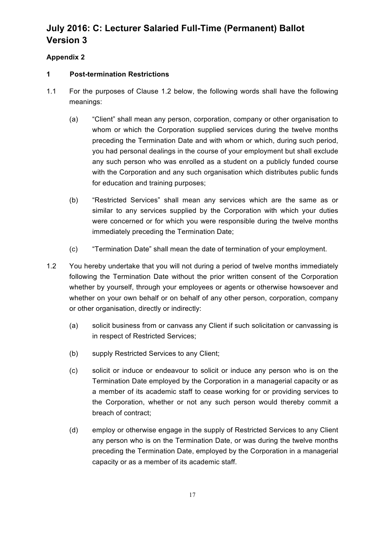### **Appendix 2**

#### **1 Post-termination Restrictions**

- 1.1 For the purposes of Clause 1.2 below, the following words shall have the following meanings:
	- (a) "Client" shall mean any person, corporation, company or other organisation to whom or which the Corporation supplied services during the twelve months preceding the Termination Date and with whom or which, during such period, you had personal dealings in the course of your employment but shall exclude any such person who was enrolled as a student on a publicly funded course with the Corporation and any such organisation which distributes public funds for education and training purposes;
	- (b) "Restricted Services" shall mean any services which are the same as or similar to any services supplied by the Corporation with which your duties were concerned or for which you were responsible during the twelve months immediately preceding the Termination Date;
	- (c) "Termination Date" shall mean the date of termination of your employment.
- 1.2 You hereby undertake that you will not during a period of twelve months immediately following the Termination Date without the prior written consent of the Corporation whether by yourself, through your employees or agents or otherwise howsoever and whether on your own behalf or on behalf of any other person, corporation, company or other organisation, directly or indirectly:
	- (a) solicit business from or canvass any Client if such solicitation or canvassing is in respect of Restricted Services;
	- (b) supply Restricted Services to any Client;
	- (c) solicit or induce or endeavour to solicit or induce any person who is on the Termination Date employed by the Corporation in a managerial capacity or as a member of its academic staff to cease working for or providing services to the Corporation, whether or not any such person would thereby commit a breach of contract;
	- (d) employ or otherwise engage in the supply of Restricted Services to any Client any person who is on the Termination Date, or was during the twelve months preceding the Termination Date, employed by the Corporation in a managerial capacity or as a member of its academic staff.